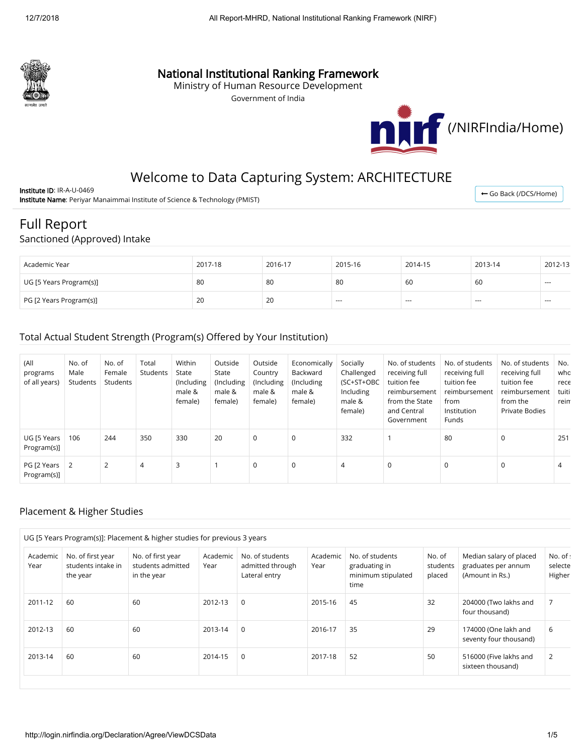

## National Institutional Ranking Framework

Ministry of Human Resource Development

Government of India



← [Go Back \(/DCS/Home\)](http://login.nirfindia.org/DCS/Home)

# Welcome to Data Capturing System: ARCHITECTURE

Institute ID: IR-A-U-0469 Institute Name: Periyar Manaimmai Institute of Science & Technology (PMIST)

## Full Report

#### Sanctioned (Approved) Intake

| Academic Year           | 2017-18 | 2016-17 | 2015-16 | 2014-15 | 2013-14 | 2012-13  |
|-------------------------|---------|---------|---------|---------|---------|----------|
| UG [5 Years Program(s)] | 80      | 80      | 80      | 60      | 60      | $\cdots$ |
| PG [2 Years Program(s)] | 20      | 20      | $- - -$ | $- - -$ | $- - -$ | $\cdots$ |

### Total Actual Student Strength (Program(s) Offered by Your Institution)

| (All<br>programs<br>of all years) | No. of<br>Male<br>Students | No. of<br>Female<br>Students | Total<br>Students | Within<br>State<br>(Including<br>male &<br>female) | Outside<br>State<br>(Including<br>male &<br>female) | Outside<br>Country<br>(Including<br>male &<br>female) | Economically<br>Backward<br>(Including<br>male &<br>female) | Socially<br>Challenged<br>(SC+ST+OBC<br>Including<br>male &<br>female) | No. of students<br>receiving full<br>tuition fee<br>reimbursement<br>from the State<br>and Central<br>Government | No. of students<br>receiving full<br>tuition fee<br>reimbursement<br>from<br>Institution<br>Funds | No. of students<br>receiving full<br>tuition fee<br>reimbursement<br>from the<br>Private Bodies | No.<br>who<br>rece<br>tuiti<br>reim |
|-----------------------------------|----------------------------|------------------------------|-------------------|----------------------------------------------------|-----------------------------------------------------|-------------------------------------------------------|-------------------------------------------------------------|------------------------------------------------------------------------|------------------------------------------------------------------------------------------------------------------|---------------------------------------------------------------------------------------------------|-------------------------------------------------------------------------------------------------|-------------------------------------|
| UG [5 Years]<br>Program(s)]       | 106                        | 244                          | 350               | 330                                                | 20                                                  | $\mathbf 0$                                           | $\mathbf 0$                                                 | 332                                                                    |                                                                                                                  | 80                                                                                                | 0                                                                                               | 251                                 |
| PG [2 Years 2<br>Program(s)]      |                            | 2                            | 4                 | 3                                                  |                                                     | $\mathbf 0$                                           | $\mathbf 0$                                                 | 4                                                                      | 0                                                                                                                | 0                                                                                                 | 0                                                                                               | 4                                   |

### Placement & Higher Studies

|                  |                                                     | UG [5 Years Program(s)]: Placement & higher studies for previous 3 years |                  |                                                      |                  |                                                                |                              |                                                                   |                               |
|------------------|-----------------------------------------------------|--------------------------------------------------------------------------|------------------|------------------------------------------------------|------------------|----------------------------------------------------------------|------------------------------|-------------------------------------------------------------------|-------------------------------|
| Academic<br>Year | No. of first year<br>students intake in<br>the year | No. of first year<br>students admitted<br>in the year                    | Academic<br>Year | No. of students<br>admitted through<br>Lateral entry | Academic<br>Year | No. of students<br>graduating in<br>minimum stipulated<br>time | No. of<br>students<br>placed | Median salary of placed<br>graduates per annum<br>(Amount in Rs.) | No. of :<br>selecte<br>Higher |
| 2011-12          | 60                                                  | 60                                                                       | 2012-13          | $\mathbf 0$                                          | 2015-16          | 45                                                             | 32                           | 204000 (Two lakhs and<br>four thousand)                           | $\overline{7}$                |
| 2012-13          | 60                                                  | 60                                                                       | 2013-14          | $\mathbf 0$                                          | 2016-17          | 35                                                             | 29                           | 174000 (One lakh and<br>seventy four thousand)                    | 6                             |
| 2013-14          | 60                                                  | 60                                                                       | 2014-15          | $\mathbf 0$                                          | 2017-18          | 52                                                             | 50                           | 516000 (Five lakhs and<br>sixteen thousand)                       | 2                             |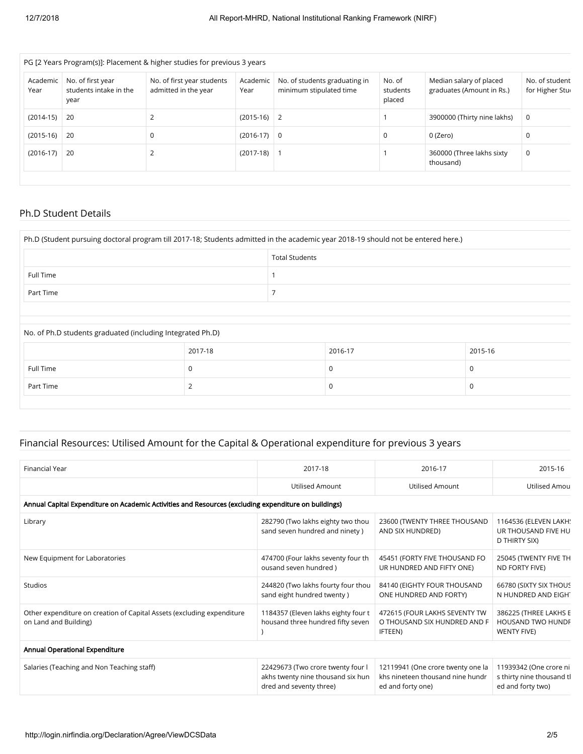| Academic<br>Year | No. of first year<br>students intake in the<br>year | No. of first year students<br>admitted in the year | Academic<br>Year | No. of students graduating in<br>minimum stipulated time | No. of<br>students<br>placed | Median salary of placed<br>graduates (Amount in Rs.) | No. of student<br>for Higher Stur |
|------------------|-----------------------------------------------------|----------------------------------------------------|------------------|----------------------------------------------------------|------------------------------|------------------------------------------------------|-----------------------------------|
| $(2014-15)$      | -20                                                 |                                                    | $(2015-16)$ 2    |                                                          |                              | 3900000 (Thirty nine lakhs)                          | 0                                 |
| $(2015-16)$      | -20                                                 | 0                                                  | $(2016-17)$ 0    |                                                          | 0                            | 0 (Zero)                                             |                                   |
| $(2016-17)$      | -20                                                 |                                                    | $(2017-18)$ 1    |                                                          |                              | 360000 (Three lakhs sixty<br>thousand)               | 0                                 |

## Ph.D Student Details

| Ph.D (Student pursuing doctoral program till 2017-18; Students admitted in the academic year 2018-19 should not be entered here.) |         |                       |         |         |  |  |  |  |
|-----------------------------------------------------------------------------------------------------------------------------------|---------|-----------------------|---------|---------|--|--|--|--|
|                                                                                                                                   |         | <b>Total Students</b> |         |         |  |  |  |  |
| Full Time                                                                                                                         |         |                       |         |         |  |  |  |  |
| Part Time                                                                                                                         |         |                       |         |         |  |  |  |  |
|                                                                                                                                   |         |                       |         |         |  |  |  |  |
| No. of Ph.D students graduated (including Integrated Ph.D)                                                                        |         |                       |         |         |  |  |  |  |
|                                                                                                                                   | 2017-18 |                       | 2016-17 | 2015-16 |  |  |  |  |
| <b>Full Time</b>                                                                                                                  | 0       |                       | 0       | 0       |  |  |  |  |
| Part Time                                                                                                                         |         |                       | 0       | 0       |  |  |  |  |

## Financial Resources: Utilised Amount for the Capital & Operational expenditure for previous 3 years

| Financial Year                                                                                       | 2017-18                                                                                           | 2016-17                                                                                    | 2015-16                                                                  |  |  |  |  |  |  |  |
|------------------------------------------------------------------------------------------------------|---------------------------------------------------------------------------------------------------|--------------------------------------------------------------------------------------------|--------------------------------------------------------------------------|--|--|--|--|--|--|--|
|                                                                                                      | <b>Utilised Amount</b>                                                                            | <b>Utilised Amount</b>                                                                     | Utilised Amou                                                            |  |  |  |  |  |  |  |
| Annual Capital Expenditure on Academic Activities and Resources (excluding expenditure on buildings) |                                                                                                   |                                                                                            |                                                                          |  |  |  |  |  |  |  |
| Library                                                                                              | 282790 (Two lakhs eighty two thou<br>sand seven hundred and ninety)                               | 23600 (TWENTY THREE THOUSAND<br>AND SIX HUNDRED)                                           | 1164536 (ELEVEN LAKH!<br>UR THOUSAND FIVE HU<br>D THIRTY SIX)            |  |  |  |  |  |  |  |
| New Equipment for Laboratories                                                                       | 474700 (Four lakhs seventy four th<br>ousand seven hundred)                                       | 45451 (FORTY FIVE THOUSAND FO<br>UR HUNDRED AND FIFTY ONE)                                 | 25045 (TWENTY FIVE TH<br>ND FORTY FIVE)                                  |  |  |  |  |  |  |  |
| <b>Studios</b>                                                                                       | 244820 (Two lakhs fourty four thou<br>sand eight hundred twenty)                                  | 84140 (EIGHTY FOUR THOUSAND<br>ONE HUNDRED AND FORTY)                                      | 66780 (SIXTY SIX THOUS<br>N HUNDRED AND EIGHT                            |  |  |  |  |  |  |  |
| Other expenditure on creation of Capital Assets (excluding expenditure<br>on Land and Building)      | 1184357 (Eleven lakhs eighty four t<br>housand three hundred fifty seven                          | 472615 (FOUR LAKHS SEVENTY TW<br>O THOUSAND SIX HUNDRED AND F<br>IFTEEN)                   | 386225 (THREE LAKHS E<br><b>HOUSAND TWO HUNDF</b><br><b>WENTY FIVE)</b>  |  |  |  |  |  |  |  |
| Annual Operational Expenditure                                                                       |                                                                                                   |                                                                                            |                                                                          |  |  |  |  |  |  |  |
| Salaries (Teaching and Non Teaching staff)                                                           | 22429673 (Two crore twenty four l<br>akhs twenty nine thousand six hun<br>dred and seventy three) | 12119941 (One crore twenty one la<br>khs nineteen thousand nine hundr<br>ed and forty one) | 11939342 (One crore ni<br>s thirty nine thousand th<br>ed and forty two) |  |  |  |  |  |  |  |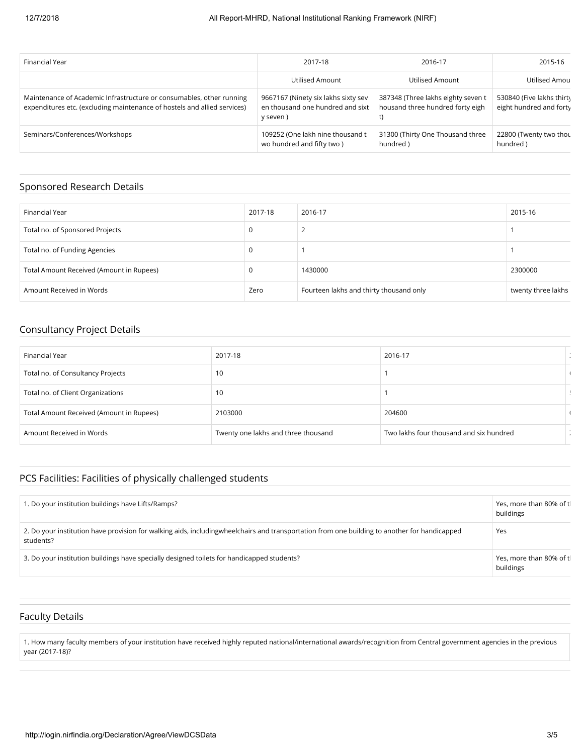| Financial Year                                                                                                                                   | 2017-18                                                                             | 2016-17                                                                      | 2015-16                                              |
|--------------------------------------------------------------------------------------------------------------------------------------------------|-------------------------------------------------------------------------------------|------------------------------------------------------------------------------|------------------------------------------------------|
|                                                                                                                                                  | Utilised Amount                                                                     | Utilised Amount                                                              | Utilised Amou                                        |
| Maintenance of Academic Infrastructure or consumables, other running<br>expenditures etc. (excluding maintenance of hostels and allied services) | 9667167 (Ninety six lakhs sixty sev<br>en thousand one hundred and sixt<br>y seven) | 387348 (Three lakhs eighty seven t<br>housand three hundred forty eigh<br>t) | 530840 (Five lakhs thirty<br>eight hundred and forty |
| Seminars/Conferences/Workshops                                                                                                                   | 109252 (One lakh nine thousand t<br>wo hundred and fifty two)                       | 31300 (Thirty One Thousand three<br>hundred)                                 | 22800 (Twenty two thou<br>hundred)                   |

#### Sponsored Research Details

| Financial Year                           | 2017-18 | 2016-17                                 | 2015-16            |
|------------------------------------------|---------|-----------------------------------------|--------------------|
| Total no. of Sponsored Projects          |         | ∸                                       |                    |
| Total no. of Funding Agencies            |         |                                         |                    |
| Total Amount Received (Amount in Rupees) |         | 1430000                                 | 2300000            |
| Amount Received in Words                 | Zero    | Fourteen lakhs and thirty thousand only | twenty three lakhs |

## Consultancy Project Details

| Financial Year                           | 2017-18                             | 2016-17                                 |  |
|------------------------------------------|-------------------------------------|-----------------------------------------|--|
| Total no. of Consultancy Projects        | 10                                  |                                         |  |
| Total no. of Client Organizations        | 10                                  |                                         |  |
| Total Amount Received (Amount in Rupees) | 2103000                             | 204600                                  |  |
| Amount Received in Words                 | Twenty one lakhs and three thousand | Two lakhs four thousand and six hundred |  |

### PCS Facilities: Facilities of physically challenged students

| 1. Do your institution buildings have Lifts/Ramps?                                                                                                        | Yes, more than 80% of tl<br>buildings |
|-----------------------------------------------------------------------------------------------------------------------------------------------------------|---------------------------------------|
| 2. Do your institution have provision for walking aids, includingwheelchairs and transportation from one building to another for handicapped<br>students? | Yes                                   |
| 3. Do your institution buildings have specially designed toilets for handicapped students?                                                                | Yes, more than 80% of tl<br>buildings |

#### Faculty Details

1. How many faculty members of your institution have received highly reputed national/international awards/recognition from Central government agencies in the previous year (2017-18)?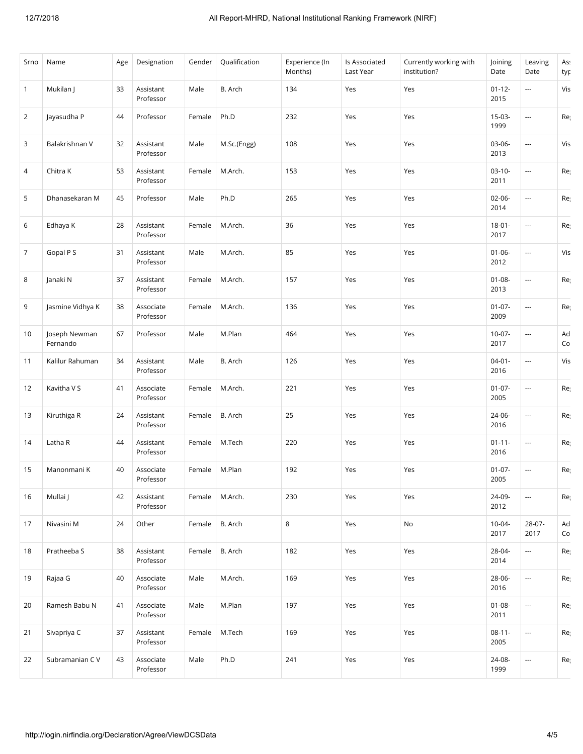| Srno           | Name                      | Age | Designation            | Gender | Qualification | Experience (In<br>Months) | Is Associated<br>Last Year | Currently working with<br>institution? | Joining<br>Date     | Leaving<br>Date          | Ass<br>typ                                  |
|----------------|---------------------------|-----|------------------------|--------|---------------|---------------------------|----------------------------|----------------------------------------|---------------------|--------------------------|---------------------------------------------|
| $\mathbf{1}$   | Mukilan J                 | 33  | Assistant<br>Professor | Male   | B. Arch       | 134                       | Yes                        | Yes                                    | $01 - 12 -$<br>2015 | ---                      | Vis                                         |
| $\overline{2}$ | Jayasudha P               | 44  | Professor              | Female | Ph.D          | 232                       | Yes                        | Yes                                    | $15-03-$<br>1999    | $\overline{\phantom{a}}$ | Re                                          |
| 3              | Balakrishnan V            | 32  | Assistant<br>Professor | Male   | M.Sc.(Engg)   | 108                       | Yes                        | Yes                                    | 03-06-<br>2013      | ---                      | Vis                                         |
| 4              | Chitra K                  | 53  | Assistant<br>Professor | Female | M.Arch.       | 153                       | Yes                        | Yes                                    | $03-10-$<br>2011    | $\overline{\phantom{a}}$ | Re                                          |
| 5              | Dhanasekaran M            | 45  | Professor              | Male   | Ph.D          | 265                       | Yes                        | Yes                                    | $02 - 06 -$<br>2014 | ---                      | Re                                          |
| 6              | Edhaya K                  | 28  | Assistant<br>Professor | Female | M.Arch.       | 36                        | Yes                        | Yes                                    | $18 - 01 -$<br>2017 | $\overline{\phantom{a}}$ | Re                                          |
| 7              | Gopal P S                 | 31  | Assistant<br>Professor | Male   | M.Arch.       | 85                        | Yes                        | Yes                                    | $01 - 06 -$<br>2012 | $\overline{\phantom{a}}$ | Vis                                         |
| 8              | Janaki N                  | 37  | Assistant<br>Professor | Female | M.Arch.       | 157                       | Yes                        | Yes                                    | $01 - 08 -$<br>2013 | $\overline{\phantom{a}}$ | Re                                          |
| 9              | Jasmine Vidhya K          | 38  | Associate<br>Professor | Female | M.Arch.       | 136                       | Yes                        | Yes                                    | $01-07-$<br>2009    | $\overline{a}$           | Re                                          |
| 10             | Joseph Newman<br>Fernando | 67  | Professor              | Male   | M.Plan        | 464                       | Yes                        | Yes                                    | $10-07-$<br>2017    | $\overline{\phantom{a}}$ | $\operatorname{\mathsf{Ad}}\nolimits$<br>Co |
| 11             | Kalilur Rahuman           | 34  | Assistant<br>Professor | Male   | B. Arch       | 126                       | Yes                        | Yes                                    | $04 - 01 -$<br>2016 | $\overline{a}$           | Vis                                         |
| 12             | Kavitha V S               | 41  | Associate<br>Professor | Female | M.Arch.       | 221                       | Yes                        | Yes                                    | $01-07-$<br>2005    | $\overline{\phantom{a}}$ | Re                                          |
| 13             | Kiruthiga R               | 24  | Assistant<br>Professor | Female | B. Arch       | 25                        | Yes                        | Yes                                    | 24-06-<br>2016      | $\overline{a}$           | Re                                          |
| 14             | Latha R                   | 44  | Assistant<br>Professor | Female | M.Tech        | 220                       | Yes                        | Yes                                    | $01 - 11 -$<br>2016 | $\overline{\phantom{a}}$ | Re                                          |
| 15             | Manonmani K               | 40  | Associate<br>Professor | Female | M.Plan        | 192                       | Yes                        | Yes                                    | $01-07-$<br>2005    | $\overline{\phantom{a}}$ | Re                                          |
| 16             | Mullai J                  | 42  | Assistant<br>Professor | Female | M.Arch.       | 230                       | Yes                        | Yes                                    | 24-09-<br>2012      | $\overline{\phantom{a}}$ | Re                                          |
| 17             | Nivasini M                | 24  | Other                  | Female | B. Arch       | 8                         | Yes                        | No                                     | 10-04-<br>2017      | 28-07-<br>2017           | Ad<br>Co                                    |
| 18             | Pratheeba S               | 38  | Assistant<br>Professor | Female | B. Arch       | 182                       | Yes                        | Yes                                    | 28-04-<br>2014      | $\hspace{0.05cm}\ldots$  | Re                                          |
| 19             | Rajaa G                   | 40  | Associate<br>Professor | Male   | M.Arch.       | 169                       | Yes                        | Yes                                    | 28-06-<br>2016      | $\overline{\phantom{a}}$ | Re                                          |
| 20             | Ramesh Babu N             | 41  | Associate<br>Professor | Male   | M.Plan        | 197                       | Yes                        | Yes                                    | $01 - 08 -$<br>2011 | $\overline{a}$           | Re                                          |
| 21             | Sivapriya C               | 37  | Assistant<br>Professor | Female | M.Tech        | 169                       | Yes                        | Yes                                    | $08-11-$<br>2005    | $\overline{\phantom{a}}$ | Re                                          |
| 22             | Subramanian C V           | 43  | Associate<br>Professor | Male   | Ph.D          | 241                       | Yes                        | Yes                                    | 24-08-<br>1999      | $\sim$                   | Re                                          |